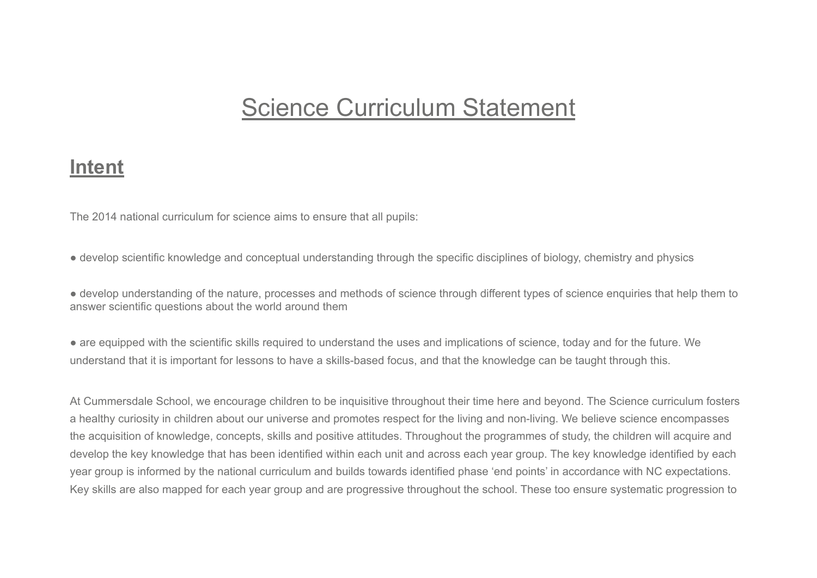# Science Curriculum Statement

#### **Intent**

The 2014 national curriculum for science aims to ensure that all pupils:

● develop scientific knowledge and conceptual understanding through the specific disciplines of biology, chemistry and physics

● develop understanding of the nature, processes and methods of science through different types of science enquiries that help them to answer scientific questions about the world around them

● are equipped with the scientific skills required to understand the uses and implications of science, today and for the future. We understand that it is important for lessons to have a skills-based focus, and that the knowledge can be taught through this.

At Cummersdale School, we encourage children to be inquisitive throughout their time here and beyond. The Science curriculum fosters a healthy curiosity in children about our universe and promotes respect for the living and non-living. We believe science encompasses the acquisition of knowledge, concepts, skills and positive attitudes. Throughout the programmes of study, the children will acquire and develop the key knowledge that has been identified within each unit and across each year group. The key knowledge identified by each year group is informed by the national curriculum and builds towards identified phase 'end points' in accordance with NC expectations. Key skills are also mapped for each year group and are progressive throughout the school. These too ensure systematic progression to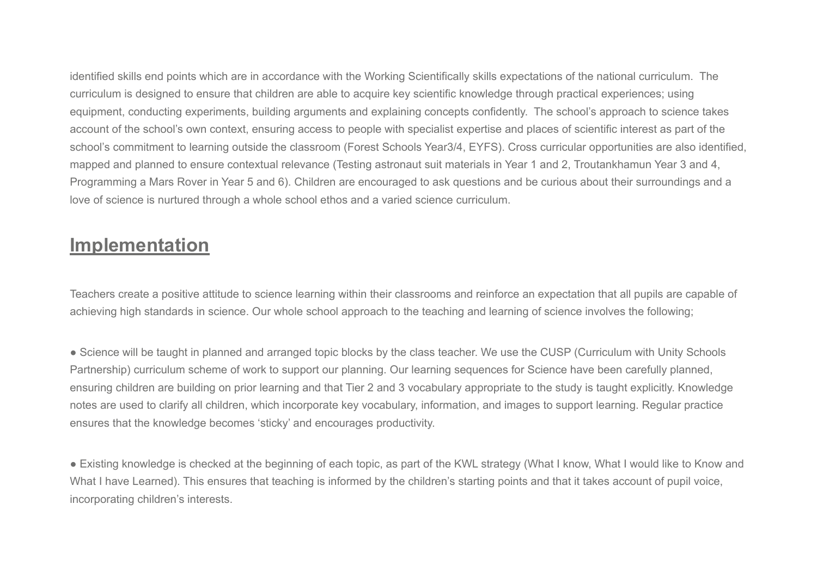identified skills end points which are in accordance with the Working Scientifically skills expectations of the national curriculum. The curriculum is designed to ensure that children are able to acquire key scientific knowledge through practical experiences; using equipment, conducting experiments, building arguments and explaining concepts confidently. The school's approach to science takes account of the school's own context, ensuring access to people with specialist expertise and places of scientific interest as part of the school's commitment to learning outside the classroom (Forest Schools Year3/4, EYFS). Cross curricular opportunities are also identified, mapped and planned to ensure contextual relevance (Testing astronaut suit materials in Year 1 and 2, Troutankhamun Year 3 and 4, Programming a Mars Rover in Year 5 and 6). Children are encouraged to ask questions and be curious about their surroundings and a love of science is nurtured through a whole school ethos and a varied science curriculum.

## **Implementation**

Teachers create a positive attitude to science learning within their classrooms and reinforce an expectation that all pupils are capable of achieving high standards in science. Our whole school approach to the teaching and learning of science involves the following;

• Science will be taught in planned and arranged topic blocks by the class teacher. We use the CUSP (Curriculum with Unity Schools Partnership) curriculum scheme of work to support our planning. Our learning sequences for Science have been carefully planned, ensuring children are building on prior learning and that Tier 2 and 3 vocabulary appropriate to the study is taught explicitly. Knowledge notes are used to clarify all children, which incorporate key vocabulary, information, and images to support learning. Regular practice ensures that the knowledge becomes 'sticky' and encourages productivity.

● Existing knowledge is checked at the beginning of each topic, as part of the KWL strategy (What I know, What I would like to Know and What I have Learned). This ensures that teaching is informed by the children's starting points and that it takes account of pupil voice, incorporating children's interests.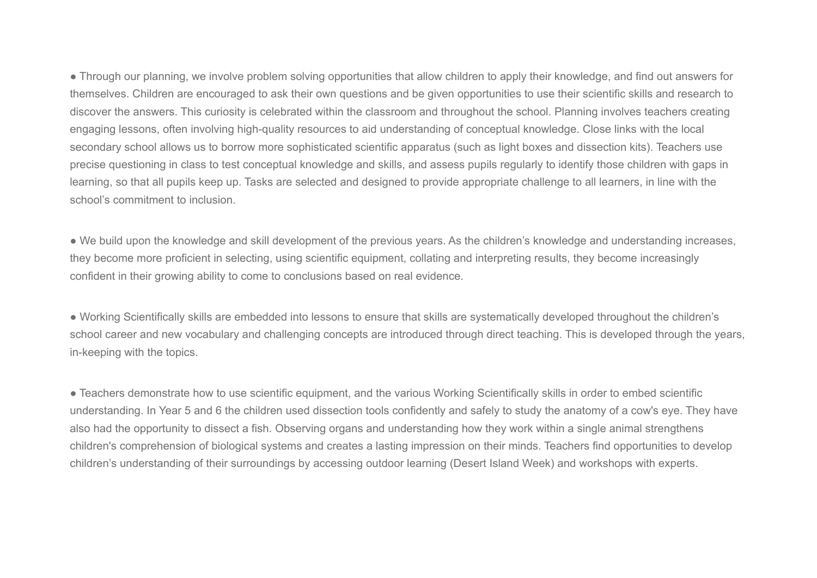● Through our planning, we involve problem solving opportunities that allow children to apply their knowledge, and find out answers for themselves. Children are encouraged to ask their own questions and be given opportunities to use their scientific skills and research to discover the answers. This curiosity is celebrated within the classroom and throughout the school. Planning involves teachers creating engaging lessons, often involving high-quality resources to aid understanding of conceptual knowledge. Close links with the local secondary school allows us to borrow more sophisticated scientific apparatus (such as light boxes and dissection kits). Teachers use precise questioning in class to test conceptual knowledge and skills, and assess pupils regularly to identify those children with gaps in learning, so that all pupils keep up. Tasks are selected and designed to provide appropriate challenge to all learners, in line with the school's commitment to inclusion.

● We build upon the knowledge and skill development of the previous years. As the children's knowledge and understanding increases, they become more proficient in selecting, using scientific equipment, collating and interpreting results, they become increasingly confident in their growing ability to come to conclusions based on real evidence.

● Working Scientifically skills are embedded into lessons to ensure that skills are systematically developed throughout the children's school career and new vocabulary and challenging concepts are introduced through direct teaching. This is developed through the years, in-keeping with the topics.

● Teachers demonstrate how to use scientific equipment, and the various Working Scientifically skills in order to embed scientific understanding. In Year 5 and 6 the children used dissection tools confidently and safely to study the anatomy of a cow's eye. They have also had the opportunity to dissect a fish. Observing organs and understanding how they work within a single animal strengthens children's comprehension of biological systems and creates a lasting impression on their minds. Teachers find opportunities to develop children's understanding of their surroundings by accessing outdoor learning (Desert Island Week) and workshops with experts.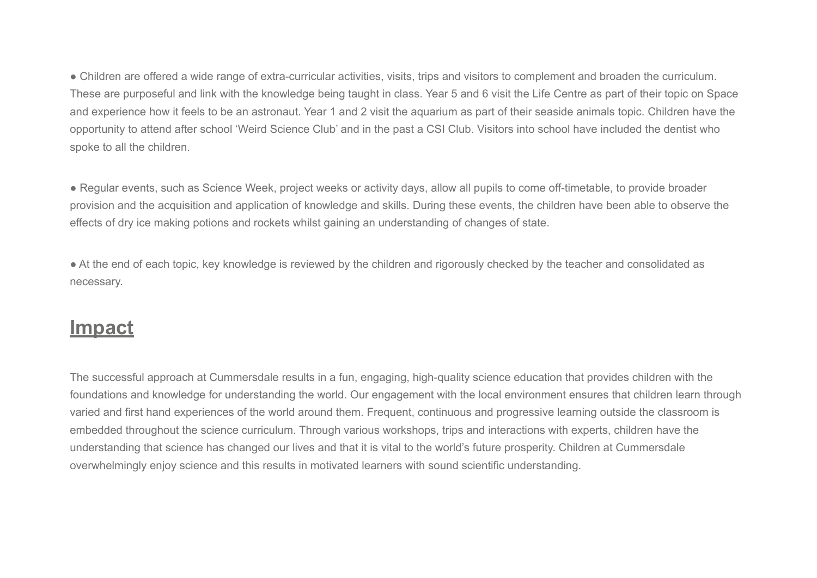● Children are offered a wide range of extra-curricular activities, visits, trips and visitors to complement and broaden the curriculum. These are purposeful and link with the knowledge being taught in class. Year 5 and 6 visit the Life Centre as part of their topic on Space and experience how it feels to be an astronaut. Year 1 and 2 visit the aquarium as part of their seaside animals topic. Children have the opportunity to attend after school 'Weird Science Club' and in the past a CSI Club. Visitors into school have included the dentist who spoke to all the children.

● Regular events, such as Science Week, project weeks or activity days, allow all pupils to come off-timetable, to provide broader provision and the acquisition and application of knowledge and skills. During these events, the children have been able to observe the effects of dry ice making potions and rockets whilst gaining an understanding of changes of state.

● At the end of each topic, key knowledge is reviewed by the children and rigorously checked by the teacher and consolidated as necessary.

## **Impact**

The successful approach at Cummersdale results in a fun, engaging, high-quality science education that provides children with the foundations and knowledge for understanding the world. Our engagement with the local environment ensures that children learn through varied and first hand experiences of the world around them. Frequent, continuous and progressive learning outside the classroom is embedded throughout the science curriculum. Through various workshops, trips and interactions with experts, children have the understanding that science has changed our lives and that it is vital to the world's future prosperity. Children at Cummersdale overwhelmingly enjoy science and this results in motivated learners with sound scientific understanding.